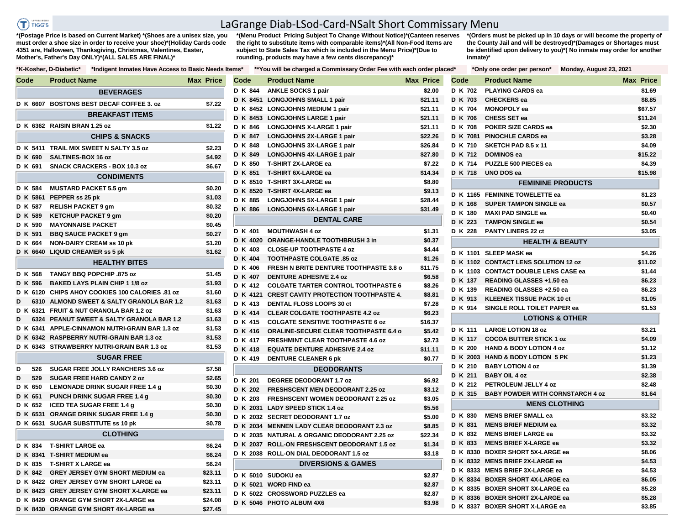$T$ ) riggs

## LaGrange Diab-LSod-Card-NSalt Short Commissary Menu

**\*(Postage Price is based on Current Market) \*(Shoes are a unisex size, you must order a shoe size in order to receive your shoe)\*(Holiday Cards code 4351 are, Halloween, Thanksgiving, Christmas, Valentines, Easter, Mother's, Father's Day ONLY)\*(ALL SALES ARE FINAL)\***

**\*(Menu Product Pricing Subject To Change Without Notice)\*(Canteen reserves the right to substitute items with comparable items)\*(All Non-Food Items are subject to State Sales Tax which is included in the Menu Price)\*(Due to rounding, products may have a few cents discrepancy)\*** 

**\*(Orders must be picked up in 10 days or will become the property of the County Jail and will be destroyed)\*(Damages or Shortages must be identified upon delivery to you)\*( No inmate may order for another inmate)\***

| Code     | <b>Product Name</b>                             | <b>Max Price</b> | Code    | <b>Product Name</b>                                       | <b>Max Price</b> | Code           | <b>Product Name</b>                     | <b>Max Price</b> |
|----------|-------------------------------------------------|------------------|---------|-----------------------------------------------------------|------------------|----------------|-----------------------------------------|------------------|
|          | <b>BEVERAGES</b>                                |                  | D K 844 | <b>ANKLE SOCKS 1 pair</b>                                 | \$2.00           | <b>D K 702</b> | <b>PLAYING CARDS ea</b>                 | \$1.69           |
|          | D K 6607 BOSTONS BEST DECAF COFFEE 3. oz        | \$7.22           |         | D K 8451 LONGJOHNS SMALL 1 pair                           | \$21.11          | <b>D K 703</b> | <b>CHECKERS</b> ea                      | \$8.85           |
|          |                                                 |                  |         | D K 8452 LONGJOHNS MEDIUM 1 pair                          | \$21.11          | <b>D K 704</b> | <b>MONOPOLY</b> ea                      | \$67.57          |
|          | <b>BREAKFAST ITEMS</b>                          |                  |         | D K 8453 LONGJOHNS LARGE 1 pair                           | \$21.11          | D K 706        | CHESS SET ea                            | \$11.24          |
|          | D K 6362 RAISIN BRAN 1.25 oz                    | \$1.22           | D K 846 | <b>LONGJOHNS X-LARGE 1 pair</b>                           | \$21.11          | D K 708        | POKER SIZE CARDS ea                     | \$2.30           |
|          | <b>CHIPS &amp; SNACKS</b>                       |                  | D K 847 | <b>LONGJOHNS 2X-LARGE 1 pair</b>                          | \$22.26          | D K 7081       | <b>PINOCHLE CARDS ea</b>                | \$3.28           |
|          | D K 5411 TRAIL MIX SWEET N SALTY 3.5 oz         | \$2.23           | D K 848 | LONGJOHNS 3X-LARGE 1 pair                                 | \$26.84          | D K 710        | SKETCH PAD 8.5 x 11                     | \$4.09           |
| D K 690  | SALTINES-BOX 16 oz                              | \$4.92           | D K 849 | LONGJOHNS 4X-LARGE 1 pair                                 | \$27.80          | D K 712        | <b>DOMINOS ea</b>                       | \$15.22          |
| D K 691  | <b>SNACK CRACKERS - BOX 10.3 oz</b>             | \$6.67           |         | D K 850 T-SHIRT 2X-LARGE ea                               | \$7.22           | D K 714        | <b>PUZZLE 500 PIECES ea</b>             | \$4.39           |
|          | <b>CONDIMENTS</b>                               |                  |         | D K 851 T-SHIRT 6X-LARGE ea                               | \$14.34          | D K 718        | UNO DOS ea                              | \$15.98          |
| D K 584  | <b>MUSTARD PACKET 5.5 gm</b>                    | \$0.20           |         | D K 8510 T-SHIRT 3X-LARGE ea                              | \$8.80           |                | <b>FEMININE PRODUCTS</b>                |                  |
|          | D K 5861 PEPPER ss 25 pk                        | \$1.03           |         | D K 8520 T-SHIRT 4X-LARGE ea                              | \$9.13           |                | D K 1165 FEMININE TOWELETTE ea          | \$1.23           |
| D K 587  | <b>RELISH PACKET 9 gm</b>                       | \$0.32           | D K 885 | <b>LONGJOHNS 5X-LARGE 1 pair</b>                          | \$28.44          | D K 168        | <b>SUPER TAMPON SINGLE ea</b>           | \$0.57           |
| D K 589  | <b>KETCHUP PACKET 9 gm</b>                      | \$0.20           |         | D K 886 LONGJOHNS 6X-LARGE 1 pair                         | \$31.49          | D K 180        | <b>MAXI PAD SINGLE ea</b>               | \$0.40           |
| D K 590  | <b>MAYONNAISE PACKET</b>                        | \$0.45           |         | <b>DENTAL CARE</b>                                        |                  | D K 223        | <b>TAMPON SINGLE ea</b>                 | \$0.54           |
| D K 591  | <b>BBQ SAUCE PACKET 9 gm</b>                    | \$0.27           | D K 401 | <b>MOUTHWASH 4 oz</b>                                     | \$1.31           | D K 228        | <b>PANTY LINERS 22 ct</b>               | \$3.05           |
| D K 664  | <b>NON-DAIRY CREAM ss 10 pk</b>                 | \$1.20           |         | D K 4020 ORANGE-HANDLE TOOTHBRUSH 3 in                    | \$0.37           |                | <b>HEALTH &amp; BEAUTY</b>              |                  |
|          | D K 6640 LIQUID CREAMER ss 5 pk                 | \$1.62           | D K 403 | <b>CLOSE-UP TOOTHPASTE 4 oz</b>                           | \$4.44           |                | D K 1101 SLEEP MASK ea                  | \$4.26           |
|          | <b>HEALTHY BITES</b>                            |                  | D K 404 | <b>TOOTHPASTE COLGATE .85 oz</b>                          | \$1.26           |                | D K 1102 CONTACT LENS SOLUTION 12 oz    | \$11.02          |
|          |                                                 |                  | D K 406 | <b>FRESH N BRITE DENTURE TOOTHPASTE 3.8 o</b>             | \$11.75          |                | D K 1103 CONTACT DOUBLE LENS CASE ea    | \$1.44           |
| D K 568  | TANGY BBQ POPCHIP .875 oz                       | \$1.45           | D K 407 | <b>DENTURE ADHESIVE 2.4 oz</b>                            | \$6.58           | D K 137        | READING GLASSES +1.50 ea                | \$6.23           |
| D K 596  | <b>BAKED LAYS PLAIN CHIP 1 1/8 oz</b>           | \$1.93           | D K 412 | <b>COLGATE TARTER CONTROL TOOTHPASTE 6</b>                | \$8.26           | D K 139        | READING GLASSES +2.50 ea                | \$6.23           |
|          | D K 6120 CHIPS AHOY COOKIES 100 CALORIES .81 oz | \$1.60           |         | D K 4121 CREST CAVITY PROTECTION TOOTHPASTE 4.            | \$8.81           | D K 913        | <b>KLEENEX TISSUE PACK 10 ct</b>        | \$1.05           |
| D        | 6310 ALMOND SWEET & SALTY GRANOLA BAR 1.2       | \$1.63           | D K 413 | DENTAL FLOSS LOOPS 30 ct                                  | \$7.28           | D K 914        | SINGLE ROLL TOILET PAPER ea             | \$1.53           |
|          | D K 6321 FRUIT & NUT GRANOLA BAR 1.2 oz         | \$1.63           | D K 414 | <b>CLEAR COLGATE TOOTHPASTE 4.2 oz</b>                    | \$6.23           |                |                                         |                  |
| D        | 6324 PEANUT SWEET & SALTY GRANOLA BAR 1.2       | \$1.63           | D K 415 | <b>COLGATE SENSITIVE TOOTHPASTE 6 oz</b>                  | \$16.37          |                | <b>LOTIONS &amp; OTHER</b>              |                  |
|          | D K 6341 APPLE-CINNAMON NUTRI-GRAIN BAR 1.3 oz  | \$1.53           | D K 416 | ORALINE-SECURE CLEAR TOOTHPASTE 6.4 o                     | \$5.42           | D K 111        | <b>LARGE LOTION 18 oz</b>               | \$3.21           |
|          | D K 6342 RASPBERRY NUTRI-GRAIN BAR 1.3 oz       | \$1.53           | D K 417 | <b>FRESHMINT CLEAR TOOTHPASTE 4.6 oz</b>                  | \$2.73           | <b>D K 117</b> | <b>COCOA BUTTER STICK 1 oz</b>          | \$4.09           |
|          | D K 6343 STRAWBERRY NUTRI-GRAIN BAR 1.3 oz      | \$1.53           | D K 418 | <b>EQUATE DENTURE ADHESIVE 2.4 oz</b>                     | \$11.11          | <b>D K 200</b> | <b>HAND &amp; BODY LOTION 4 oz</b>      | \$1.12           |
|          | <b>SUGAR FREE</b>                               |                  | D K 419 | <b>DENTURE CLEANER 6 pk</b>                               | \$0.77           |                | D K 2003 HAND & BODY LOTION 5 PK        | \$1.23           |
| D<br>526 | SUGAR FREE JOLLY RANCHERS 3.6 oz                | \$7.58           |         | <b>DEODORANTS</b>                                         |                  | D K 210        | <b>BABY LOTION 4 oz</b>                 | \$1.39           |
| D<br>529 | <b>SUGAR FREE HARD CANDY 2 oz</b>               | \$2.65           | D K 201 | DEGREE DEODORANT 1.7 oz                                   | \$6.92           | D K 211        | <b>BABY OIL 4 oz</b>                    | \$2.38           |
| D K 650  | LEMONADE DRINK SUGAR FREE 1.4 g                 | \$0.30           | D K 202 | <b>FRESHSCENT MEN DEODORANT 2.25 oz</b>                   | \$3.12           | D K 212        | PETROLEUM JELLY 4 oz                    | \$2.48           |
| D K 651  | <b>PUNCH DRINK SUGAR FREE 1.4 g</b>             | \$0.30           | D K 203 | <b>FRESHSCENT WOMEN DEODORANT 2.25 oz</b>                 | \$3.05           | D K 315        | <b>BABY POWDER WITH CORNSTARCH 4 oz</b> | \$1.64           |
| D K 652  | <b>ICED TEA SUGAR FREE 1.4 g</b>                | \$0.30           |         | D K 2031 LADY SPEED STICK 1.4 oz                          | \$5.56           |                | <b>MENS CLOTHING</b>                    |                  |
|          | D K 6531 ORANGE DRINK SUGAR FREE 1.4 g          | \$0.30           |         | D K 2032 SECRET DEODORANT 1.7 oz                          | \$5.00           | D K 830        | <b>MENS BRIEF SMALL ea</b>              | \$3.32           |
|          | D K 6631 SUGAR SUBSTITUTE ss 10 pk              | \$0.78           |         | D K 2034 MENNEN LADY CLEAR DEODORANT 2.3 oz               | \$8.85           | D K 831        | <b>MENS BRIEF MEDIUM ea</b>             | \$3.32           |
|          | <b>CLOTHING</b>                                 |                  |         | D K 2035 NATURAL & ORGANIC DEODORANT 2.25 oz              | \$22.34          | D K 832        | <b>MENS BRIEF LARGE ea</b>              | \$3.32           |
|          | D K 834 T-SHIRT LARGE ea                        | \$6.24           |         | D K 2037 ROLL-ON FRESHSCENT DEODORANT 1.5 oz              | \$1.34           | D K 833        | <b>MENS BRIEF X-LARGE ea</b>            | \$3.32           |
|          | D K 8341 T-SHIRT MEDIUM ea                      | \$6.24           |         | D K 2038 ROLL-ON DIAL DEODORANT 1.5 oz                    | \$3.18           |                | D K 8330 BOXER SHORT 5X-LARGE ea        | \$8.06           |
| D K 835  | <b>T-SHIRT X LARGE ea</b>                       | \$6.24           |         | <b>DIVERSIONS &amp; GAMES</b>                             |                  |                | D K 8332 MENS BRIEF 2X-LARGE ea         | \$4.53           |
| D K 842  | <b>GREY JERSEY GYM SHORT MEDIUM ea</b>          | \$23.11          |         |                                                           |                  |                | D K 8333 MENS BRIEF 3X-LARGE ea         | \$4.53           |
|          | D K 8422 GREY JERSEY GYM SHORT LARGE ea         | \$23.11          |         | D K 5010 SUDOKU ea                                        | \$2.87           |                | D K 8334 BOXER SHORT 4X-LARGE ea        | \$6.05           |
|          | D K 8423 GREY JERSEY GYM SHORT X-LARGE ea       | \$23.11          |         | D K 5021 WORD FIND ea                                     | \$2.87           |                | D K 8335 BOXER SHORT 3X-LARGE ea        | \$5.28           |
|          | D K 8429 ORANGE GYM SHORT 2X-LARGE ea           | \$24.08          |         | D K 5022 CROSSWORD PUZZLES ea<br>D K 5046 PHOTO ALBUM 4X6 | \$2.87<br>\$3.98 |                | D K 8336 BOXER SHORT 2X-LARGE ea        | \$5.28           |
|          | D K 8430 ORANGE GYM SHORT 4X-LARGE ea           | \$27.45          |         |                                                           |                  |                | D K 8337 BOXER SHORT X-LARGE ea         | \$3.85           |

|          | *K-Kosher, D-Diabetic*<br>*Indigent Inmates Have Access to Basic Needs Items* |                  |          | **You will be charged a Commissary Order Fee with each order plac |                  |
|----------|-------------------------------------------------------------------------------|------------------|----------|-------------------------------------------------------------------|------------------|
| Code     | <b>Product Name</b>                                                           | <b>Max Price</b> | Code     | <b>Product Name</b>                                               | <b>Max Price</b> |
|          | <b>BEVERAGES</b>                                                              |                  | D K 844  | <b>ANKLE SOCKS 1 pair</b>                                         | \$2.00           |
|          | D K 6607 BOSTONS BEST DECAF COFFEE 3, oz                                      | \$7.22           |          | D K 8451 LONGJOHNS SMALL 1 pair                                   | \$21.11          |
|          | <b>BREAKFAST ITEMS</b>                                                        |                  |          | D K 8452 LONGJOHNS MEDIUM 1 pair                                  | \$21.11          |
|          |                                                                               |                  |          | D K 8453 LONGJOHNS LARGE 1 pair                                   | \$21.11          |
|          | D K 6362 RAISIN BRAN 1.25 oz                                                  | \$1.22           | D K 846  | <b>LONGJOHNS X-LARGE 1 pair</b>                                   | \$21.11          |
|          | <b>CHIPS &amp; SNACKS</b>                                                     |                  | D K 847  | <b>LONGJOHNS 2X-LARGE 1 pair</b>                                  | \$22.26          |
|          | D K 5411 TRAIL MIX SWEET N SALTY 3.5 oz                                       | \$2.23           | D K 848  | <b>LONGJOHNS 3X-LARGE 1 pair</b>                                  | \$26.84          |
| D K 690  | SALTINES-BOX 16 oz                                                            | \$4.92           | D K 849  | LONGJOHNS 4X-LARGE 1 pair                                         | \$27.80          |
| D K 691  | <b>SNACK CRACKERS - BOX 10.3 oz</b>                                           | \$6.67           | D K 850  | <b>T-SHIRT 2X-LARGE ea</b>                                        | \$7.22           |
|          | <b>CONDIMENTS</b>                                                             |                  | D K 851  | <b>T-SHIRT 6X-LARGE ea</b>                                        | \$14.34          |
| D K 584  | <b>MUSTARD PACKET 5.5 gm</b>                                                  | \$0.20           |          | D K 8510 T-SHIRT 3X-LARGE ea                                      | \$8.80           |
|          | D K 5861 PEPPER ss 25 pk                                                      | \$1.03           |          | D K 8520 T-SHIRT 4X-LARGE ea                                      | \$9.13           |
| D K 587  | <b>RELISH PACKET 9 gm</b>                                                     | \$0.32           | D K 885  | <b>LONGJOHNS 5X-LARGE 1 pair</b>                                  | \$28.44          |
| D K 589  | KETCHUP PACKET 9 gm                                                           | \$0.20           | D K 886  | LONGJOHNS 6X-LARGE 1 pair                                         | \$31.49          |
| D K 590  | <b>MAYONNAISE PACKET</b>                                                      | \$0.45           |          | <b>DENTAL CARE</b>                                                |                  |
| D K 591  | <b>BBQ SAUCE PACKET 9 gm</b>                                                  | \$0.27           | D K 401  | <b>MOUTHWASH 4 oz</b>                                             | \$1.31           |
| D K 664  | <b>NON-DAIRY CREAM ss 10 pk</b>                                               | \$1.20           | D K 4020 | <b>ORANGE-HANDLE TOOTHBRUSH 3 in</b>                              | \$0.37           |
|          | D K 6640 LIQUID CREAMER ss 5 pk                                               | \$1.62           | D K 403  | <b>CLOSE-UP TOOTHPASTE 4 oz</b>                                   | \$4.44           |
|          | <b>HEALTHY BITES</b>                                                          |                  | D K 404  | <b>TOOTHPASTE COLGATE .85 oz</b>                                  | \$1.26           |
|          |                                                                               |                  | D K 406  | <b>FRESH N BRITE DENTURE TOOTHPASTE 3.8 o</b>                     | \$11.75          |
| D K 568  | TANGY BBQ POPCHIP .875 oz                                                     | \$1.45           | D K 407  | <b>DENTURE ADHESIVE 2.4 oz</b>                                    | \$6.58           |
| D K 596  | <b>BAKED LAYS PLAIN CHIP 1 1/8 oz</b>                                         | \$1.93           | D K 412  | <b>COLGATE TARTER CONTROL TOOTHPASTE 6</b>                        | \$8.26           |
|          | D K 6120 CHIPS AHOY COOKIES 100 CALORIES .81 oz                               | \$1.60           |          | D K 4121 CREST CAVITY PROTECTION TOOTHPASTE 4.                    | \$8.81           |
| D        | 6310 ALMOND SWEET & SALTY GRANOLA BAR 1.2                                     | \$1.63           | D K 413  | DENTAL FLOSS LOOPS 30 ct                                          | \$7.28           |
|          | D K 6321 FRUIT & NUT GRANOLA BAR 1.2 oz                                       | \$1.63           | D K 414  | <b>CLEAR COLGATE TOOTHPASTE 4.2 oz</b>                            | \$6.23           |
| D        | 6324 PEANUT SWEET & SALTY GRANOLA BAR 1.2                                     | \$1.63           | D K 415  | <b>COLGATE SENSITIVE TOOTHPASTE 6 oz</b>                          | \$16.37          |
|          | D K 6341 APPLE-CINNAMON NUTRI-GRAIN BAR 1.3 oz                                | \$1.53           | D K 416  | <b>ORALINE-SECURE CLEAR TOOTHPASTE 6.4 o</b>                      | \$5.42           |
|          | D K 6342 RASPBERRY NUTRI-GRAIN BAR 1.3 oz                                     | \$1.53           | D K 417  | <b>FRESHMINT CLEAR TOOTHPASTE 4.6 oz</b>                          | \$2.73           |
|          | D K 6343 STRAWBERRY NUTRI-GRAIN BAR 1.3 oz                                    | \$1.53           | D K 418  | <b>EQUATE DENTURE ADHESIVE 2.4 oz</b>                             | \$11.11          |
|          | <b>SUGAR FREE</b>                                                             |                  | D K 419  | <b>DENTURE CLEANER 6 pk</b>                                       | \$0.77           |
| D<br>526 | <b>SUGAR FREE JOLLY RANCHERS 3.6 oz</b>                                       | \$7.58           |          | <b>DEODORANTS</b>                                                 |                  |
| D<br>529 | <b>SUGAR FREE HARD CANDY 2 oz</b>                                             | \$2.65           | D K 201  | DEGREE DEODORANT 1.7 oz                                           | \$6.92           |
| D K 650  | LEMONADE DRINK SUGAR FREE 1.4 g                                               | \$0.30           | D K 202  | <b>FRESHSCENT MEN DEODORANT 2.25 oz</b>                           | \$3.12           |
| D K 651  | <b>PUNCH DRINK SUGAR FREE 1.4 g</b>                                           | \$0.30           | D K 203  | <b>FRESHSCENT WOMEN DEODORANT 2.25 oz</b>                         | \$3.05           |
| D K 652  | <b>ICED TEA SUGAR FREE 1.4 g</b>                                              | \$0.30           |          | D K 2031 LADY SPEED STICK 1.4 oz                                  | \$5.56           |
|          | D K 6531 ORANGE DRINK SUGAR FREE 1.4 g                                        | \$0.30           |          | D K 2032 SECRET DEODORANT 1.7 oz                                  | \$5.00           |
|          | D K 6631 SUGAR SUBSTITUTE ss 10 pk                                            | \$0.78           |          | D K 2034 MENNEN LADY CLEAR DEODORANT 2.3 oz                       | \$8.85           |
|          | <b>CLOTHING</b>                                                               |                  |          | D K 2035 NATURAL & ORGANIC DEODORANT 2.25 oz                      | \$22.34          |
| D K 834  | <b>T-SHIRT LARGE ea</b>                                                       | \$6.24           |          | D K 2037 ROLL-ON FRESHSCENT DEODORANT 1.5 oz                      | \$1.34           |
|          | D K 8341 T-SHIRT MEDIUM ea                                                    | \$6.24           |          | D K 2038 ROLL-ON DIAL DEODORANT 1.5 oz                            | \$3.18           |
| D K 835  | <b>T-SHIRT X LARGE ea</b>                                                     | \$6.24           |          | <b>DIVERSIONS &amp; GAMES</b>                                     |                  |
| D K 842  | <b>GREY JERSEY GYM SHORT MEDIUM ea</b>                                        | \$23.11          |          |                                                                   |                  |
|          | D K 8422 GREY JERSEY GYM SHORT LARGE ea                                       | \$23.11          |          | D K 5010 SUDOKU ea                                                | \$2.87           |
|          | D K 8423 GREY JERSEY GYM SHORT X-LARGE ea                                     | \$23.11          |          | D K 5021 WORD FIND ea                                             | \$2.87           |
|          | D K 8429 ORANGE GYM SHORT 2X-LARGE ea                                         | \$24.08          |          | D K 5022 CROSSWORD PUZZLES ea                                     | \$2.87           |
|          | D K 8430 ORANGE GYM SHORT 4X-LARGE ea                                         | \$27.45          |          | D K 5046 PHOTO ALBUM 4X6                                          | \$3.98           |

| ed* |      |                | *Only one order per person*  Monday, August 23, 2021 |  |                  |
|-----|------|----------------|------------------------------------------------------|--|------------------|
|     | Code |                | <b>Product Name</b>                                  |  | <b>Max Price</b> |
|     |      | D K 702        | <b>PLAYING CARDS ea</b>                              |  | \$1.69           |
|     |      | D K 703        | <b>CHECKERS</b> ea                                   |  | \$8.85           |
|     |      | D K 704        | <b>MONOPOLY</b> ea                                   |  | \$67.57          |
|     |      | D K 706        | CHESS SET ea                                         |  | \$11.24          |
|     |      | D K 708        | <b>POKER SIZE CARDS ea</b>                           |  | \$2.30           |
|     |      | D K 7081       | <b>PINOCHLE CARDS ea</b>                             |  | \$3.28           |
|     |      | <b>D K 710</b> | SKETCH PAD 8.5 x 11                                  |  | \$4.09           |
|     |      | D K 712        | <b>DOMINOS ea</b>                                    |  | \$15.22          |
|     |      | D K 714        | PUZZLE 500 PIECES ea                                 |  | \$4.39           |
|     |      | D K 718        | UNO DOS ea                                           |  | \$15.98          |
|     |      |                | <b>FEMININE PRODUCTS</b>                             |  |                  |
|     |      | D K 1165       | <b>FEMININE TOWELETTE ea</b>                         |  | \$1.23           |
|     |      | D K 168        | <b>SUPER TAMPON SINGLE ea</b>                        |  | \$0.57           |
|     |      | D K 180        | <b>MAXI PAD SINGLE ea</b>                            |  | \$0.40           |
|     |      | D K 223        | <b>TAMPON SINGLE ea</b>                              |  | \$0.54           |
|     |      | D K 228        | <b>PANTY LINERS 22 ct</b>                            |  | \$3.05           |
|     |      |                | <b>HEALTH &amp; BEAUTY</b>                           |  |                  |
|     |      | D K 1101       | <b>SLEEP MASK ea</b>                                 |  | \$4.26           |
|     |      | D K 1102       | <b>CONTACT LENS SOLUTION 12 oz</b>                   |  | \$11.02          |
|     |      | D K 1103       | <b>CONTACT DOUBLE LENS CASE ea</b>                   |  | \$1.44           |
|     |      | D K 137        | READING GLASSES +1.50 ea                             |  | \$6.23           |
|     |      | D K 139        | READING GLASSES +2.50 ea                             |  | \$6.23           |
|     |      | D K 913        | <b>KLEENEX TISSUE PACK 10 ct</b>                     |  | \$1.05           |
|     |      | D K 914        | <b>SINGLE ROLL TOILET PAPER ea</b>                   |  | \$1.53           |
|     |      |                | <b>LOTIONS &amp; OTHER</b>                           |  |                  |
|     |      | D K 111        | <b>LARGE LOTION 18 oz</b>                            |  | \$3.21           |
|     |      | D K 117        | <b>COCOA BUTTER STICK 1 oz</b>                       |  | \$4.09           |
|     |      | D K 200        | <b>HAND &amp; BODY LOTION 4 oz</b>                   |  | \$1.12           |
|     |      | D K 2003       | <b>HAND &amp; BODY LOTION 5 PK</b>                   |  | \$1.23           |
|     |      | D K 210        | <b>BABY LOTION 4 oz</b>                              |  | \$1.39           |
|     |      | D K 211        | <b>BABY OIL 4 oz</b>                                 |  | \$2.38           |
|     |      | D K 212        | PETROLEUM JELLY 4 oz                                 |  | \$2.48           |
|     |      | D K 315        | <b>BABY POWDER WITH CORNSTARCH 4 oz</b>              |  | \$1.64           |
|     |      |                | <b>MENS CLOTHING</b>                                 |  |                  |
|     |      | D K 830        | <b>MENS BRIEF SMALL ea</b>                           |  | \$3.32           |
|     |      | D K 831        | <b>MENS BRIEF MEDIUM ea</b>                          |  | \$3.32           |
|     |      | D K 832        | <b>MENS BRIEF LARGE ea</b>                           |  | \$3.32           |
|     |      | D K 833        | <b>MENS BRIEF X-LARGE ea</b>                         |  | \$3.32           |
|     |      | D K 8330       | <b>BOXER SHORT 5X-LARGE ea</b>                       |  | \$8.06           |
|     |      | D K 8332       | <b>MENS BRIEF 2X-LARGE ea</b>                        |  | \$4.53           |
|     |      | D K 8333       | <b>MENS BRIEF 3X-LARGE ea</b>                        |  | \$4.53           |
|     |      | D K 8334       | <b>BOXER SHORT 4X-LARGE ea</b>                       |  | \$6.05           |
|     |      |                | D K 8335 BOXER SHORT 3X-LARGE ea                     |  | \$5.28           |
|     |      | D K 8336       | <b>BOXER SHORT 2X-LARGE ea</b>                       |  | \$5.28           |
|     |      |                | D K 8337 BOXER SHORT X-LARGE ea                      |  | \$3.85           |
|     |      |                |                                                      |  |                  |